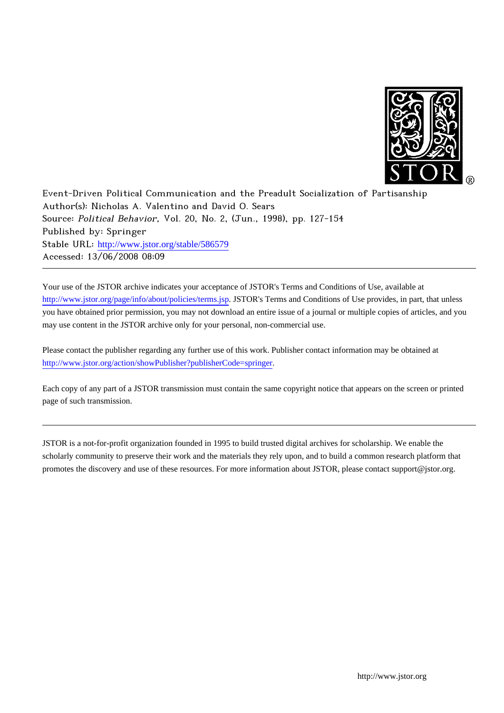

Event-Driven Political Communication and the Preadult Socialization of Partisanship Author(s): Nicholas A. Valentino and David O. Sears Source: Political Behavior, Vol. 20, No. 2, (Jun., 1998), pp. 127-154 Published by: Springer Stable URL: [http://www.jstor.org/stable/586579](http://www.jstor.org/stable/586579?origin=JSTOR-pdf) Accessed: 13/06/2008 08:09

Your use of the JSTOR archive indicates your acceptance of JSTOR's Terms and Conditions of Use, available at <http://www.jstor.org/page/info/about/policies/terms.jsp>. JSTOR's Terms and Conditions of Use provides, in part, that unless you have obtained prior permission, you may not download an entire issue of a journal or multiple copies of articles, and you may use content in the JSTOR archive only for your personal, non-commercial use.

Please contact the publisher regarding any further use of this work. Publisher contact information may be obtained at [http://www.jstor.org/action/showPublisher?publisherCode=springer.](http://www.jstor.org/action/showPublisher?publisherCode=springer)

Each copy of any part of a JSTOR transmission must contain the same copyright notice that appears on the screen or printed page of such transmission.

JSTOR is a not-for-profit organization founded in 1995 to build trusted digital archives for scholarship. We enable the scholarly community to preserve their work and the materials they rely upon, and to build a common research platform that promotes the discovery and use of these resources. For more information about JSTOR, please contact support@jstor.org.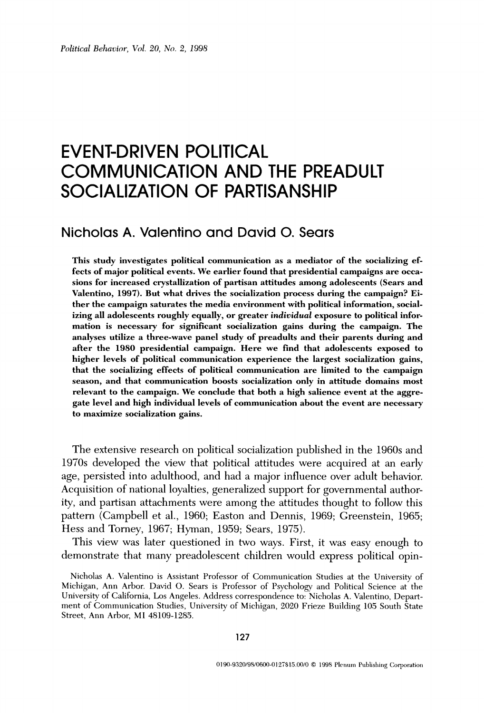# **EVENT-DRIVEN POLITICAL COMMUNICATION AND THE PREADULT SOCIALIZATION OF PARTISANSHIP**

# **Nicholas A. Valentino and David 0. Sears**

**This study investigates political communication as a mediator of the socializing effects of major political events. We earlier found that presidential campaigns are occasions for increased crystallization of partisan attitudes among adolescents (Sears and Valentino, 1997). But what drives the socialization process during the campaign? Either the campaign saturates the media environment with political information, socializing all adolescents roughly equally, or greater individual exposure to political information is necessary for significant socialization gains during the campaign. The analyses utilize a three-wave panel study of preadults and their parents during and after the 1980 presidential campaign. Here we find that adolescents exposed to higher levels of political communication experience the largest socialization gains, that the socializing effects of political communication are limited to the campaign season, and that communication boosts socialization only in attitude domains most relevant to the campaign. We conclude that both a high salience event at the aggregate level and high individual levels of communication about the event are necessary to maximize socialization gains.** 

**The extensive research on political socialization published in the 1960s and 1970s developed the view that political attitudes were acquired at an early age, persisted into adulthood, and had a major influence over adult behavior. Acquisition of national loyalties, generalized support for governmental authority, and partisan attachments were among the attitudes thought to follow this pattern (Campbell et al., 1960; Easton and Dennis, 1969; Greenstein, 1965; Hess and Torney, 1967; Hyman, 1959; Sears, 1975).** 

**This view was later questioned in two ways. First, it was easy enough to demonstrate that many preadolescent children would express political opin-**

**Nicholas A. Valentino is Assistant Professor of Communication Studies at the University of Michigan, Ann Arbor. David 0. Sears is Professor of Psychology and Political Science at the University of California, Los Angeles. Address correspondence to: Nicholas A. Valentino, Department of Communication Studies, University of Michigan, 2020 Frieze Building 105 South State Street, Ann Arbor, MI 48109-1285.**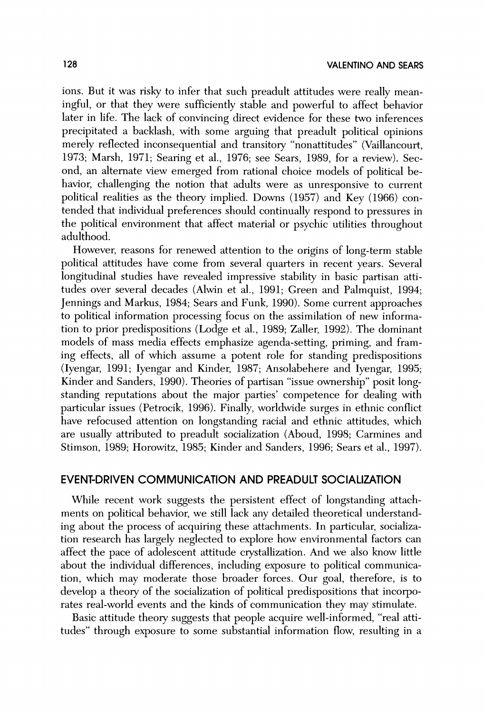**ions. But it was risky to infer that such preadult attitudes were really meaningful, or that they were sufficiently stable and powerful to affect behavior later in life. The lack of convincing direct evidence for these two inferences precipitated a backlash, with some arguing that preadult political opinions merely reflected inconsequential and transitory "nonattitudes" (Vaillancourt, 1973; Marsh, 1971; Searing et al., 1976; see Sears, 1989, for a review). Second, an alternate view emerged from rational choice models of political behavior, challenging the notion that adults were as unresponsive to current political realities as the theory implied. Downs (1957) and Key (1966) contended that individual preferences should continually respond to pressures in the political environment that affect material or psychic utilities throughout adulthood.** 

**However, reasons for renewed attention to the origins of long-term stable political attitudes have come from several quarters in recent years. Several longitudinal studies have revealed impressive stability in basic partisan attitudes over several decades (Alwin et al., 1991; Green and Palmquist, 1994; Jennings and Markus, 1984; Sears and Funk, 1990). Some current approaches to political information processing focus on the assimilation of new information to prior predispositions (Lodge et al., 1989; Zaller, 1992). The dominant models of mass media effects emphasize agenda-setting, priming, and framing effects, all of which assume a potent role for standing predispositions (Iyengar, 1991; Iyengar and Kinder, 1987; Ansolabehere and Iyengar, 1995; Kinder and Sanders, 1990). Theories of partisan "issue ownership" posit longstanding reputations about the major parties' competence for dealing with particular issues (Petrocik, 1996). Finally, worldwide surges in ethnic conflict have refocused attention on longstanding racial and ethnic attitudes, which are usually attributed to preadult socialization (Aboud, 1998; Carmines and Stimson, 1989; Horowitz, 1985; Kinder and Sanders, 1996; Sears et al., 1997).** 

# **EVENT-DRIVEN COMMUNICATION AND PREADULT SOCIALIZATION**

**While recent work suggests the persistent effect of longstanding attachments on political behavior, we still lack any detailed theoretical understanding about the process of acquiring these attachments. In particular, socialization research has largely neglected to explore how environmental factors can affect the pace of adolescent attitude crystallization. And we also know little about the individual differences, including exposure to political communication, which may moderate those broader forces. Our goal, therefore, is to develop a theory of the socialization of political predispositions that incorporates real-world events and the kinds of communication they may stimulate.** 

**Basic attitude theory suggests that people acquire well-informed, "real attitudes" through exposure to some substantial information flow, resulting in a**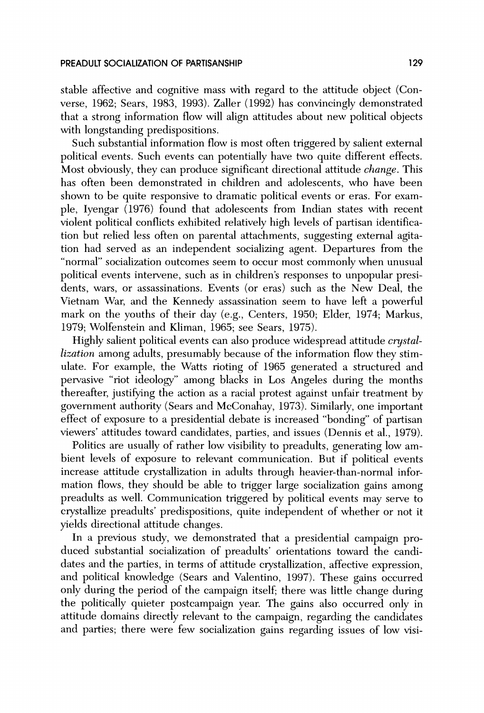**stable affective and cognitive mass with regard to the attitude object (Converse, 1962; Sears, 1983, 1993). Zaller (1992) has convincingly demonstrated that a strong information flow will align attitudes about new political objects with longstanding predispositions.** 

**Such substantial information flow is most often triggered by salient external political events. Such events can potentially have two quite different effects. Most obviously, they can produce significant directional attitude change. This has often been demonstrated in children and adolescents, who have been shown to be quite responsive to dramatic political events or eras. For example, Iyengar (1976) found that adolescents from Indian states with recent violent political conflicts exhibited relatively high levels of partisan identification but relied less often on parental attachments, suggesting external agitation had served as an independent socializing agent. Departures from the "normal" socialization outcomes seem to occur most commonly when unusual political events intervene, such as in children's responses to unpopular presidents, wars, or assassinations. Events (or eras) such as the New Deal, the Vietnam War, and the Kennedy assassination seem to have left a powerful mark on the youths of their day (e.g., Centers, 1950; Elder, 1974; Markus, 1979; Wolfenstein and Kliman, 1965; see Sears, 1975).** 

**Highly salient political events can also produce widespread attitude crystallization among adults, presumably because of the information flow they stimulate. For example, the Watts rioting of 1965 generated a structured and pervasive "riot ideology" among blacks in Los Angeles during the months thereafter, justifying the action as a racial protest against unfair treatment by government authority (Sears and McConahay, 1973). Similarly, one important effect of exposure to a presidential debate is increased "bonding" of partisan viewers' attitudes toward candidates, parties, and issues (Dennis et al., 1979).** 

**Politics are usually of rather low visibility to preadults, generating low ambient levels of exposure to relevant communication. But if political events increase attitude crystallization in adults through heavier-than-normal information flows, they should be able to trigger large socialization gains among preadults as well. Communication triggered by political events may serve to crystallize preadults' predispositions, quite independent of whether or not it yields directional attitude changes.** 

**In a previous study, we demonstrated that a presidential campaign produced substantial socialization of preadults' orientations toward the candidates and the parties, in terms of attitude crystallization, affective expression, and political knowledge (Sears and Valentino, 1997). These gains occurred only during the period of the campaign itself; there was little change during the politically quieter postcampaign year. The gains also occurred only in attitude domains directly relevant to the campaign, regarding the candidates and parties; there were few socialization gains regarding issues of low visi-**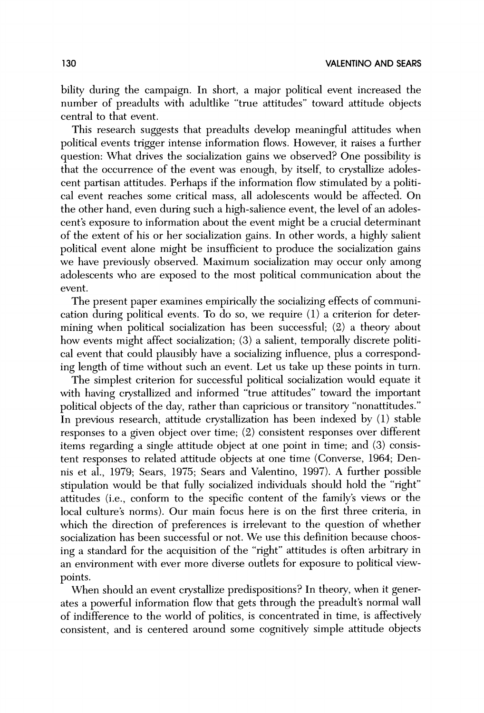**bility during the campaign. In short, a major political event increased the number of preadults with adultlike "true attitudes" toward attitude objects central to that event.** 

**This research suggests that preadults develop meaningful attitudes when political events trigger intense information flows. However, it raises a further question: What drives the socialization gains we observed? One possibility is that the occurrence of the event was enough, by itself, to crystallize adolescent partisan attitudes. Perhaps if the information flow stimulated by a political event reaches some critical mass, all adolescents would be affected. On the other hand, even during such a high-salience event, the level of an adolescent's exposure to information about the event might be a crucial determinant of the extent of his or her socialization gains. In other words, a highly salient political event alone might be insufficient to produce the socialization gains we have previously observed. Maximum socialization may occur only among adolescents who are exposed to the most political communication about the event.** 

**The present paper examines empirically the socializing effects of communication during political events. To do so, we require (1) a criterion for determining when political socialization has been successful; (2) a theory about how events might affect socialization; (3) a salient, temporally discrete political event that could plausibly have a socializing influence, plus a corresponding length of time without such an event. Let us take up these points in turn.** 

**The simplest criterion for successful political socialization would equate it with having crystallized and informed "true attitudes" toward the important political objects of the day, rather than capricious or transitory "nonattitudes." In previous research, attitude crystallization has been indexed by (1) stable responses to a given object over time; (2) consistent responses over different items regarding a single attitude object at one point in time; and (3) consistent responses to related attitude objects at one time (Converse, 1964; Dennis et al., 1979; Sears, 1975; Sears and Valentino, 1997). A further possible stipulation would be that fully socialized individuals should hold the "right" attitudes (i.e., conform to the specific content of the family's views or the local culture's norms). Our main focus here is on the first three criteria, in which the direction of preferences is irrelevant to the question of whether socialization has been successful or not. We use this definition because choosing a standard for the acquisition of the "right" attitudes is often arbitrary in an environment with ever more diverse outlets for exposure to political viewpoints.** 

**When should an event crystallize predispositions? In theory, when it generates a powerful information flow that gets through the preadult's normal wall of indifference to the world of politics, is concentrated in time, is affectively consistent, and is centered around some cognitively simple attitude objects**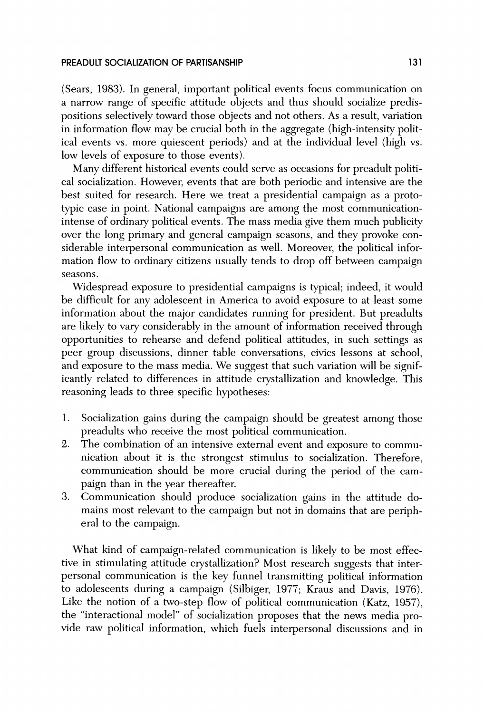**(Sears, 1983). In general, important political events focus communication on a narrow range of specific attitude objects and thus should socialize predispositions selectively toward those objects and not others. As a result, variation in information flow may be crucial both in the aggregate (high-intensity political events vs. more quiescent periods) and at the individual level (high vs. low levels of exposure to those events).** 

**Many different historical events could serve as occasions for preadult political socialization. However, events that are both periodic and intensive are the best suited for research. Here we treat a presidential campaign as a prototypic case in point. National campaigns are among the most communicationintense of ordinary political events. The mass media give them much publicity over the long primary and general campaign seasons, and they provoke considerable interpersonal communication as well. Moreover, the political information flow to ordinary citizens usually tends to drop off between campaign seasons.** 

**Widespread exposure to presidential campaigns is typical; indeed, it would be difficult for any adolescent in America to avoid exposure to at least some information about the major candidates running for president. But preadults are likely to vary considerably in the amount of information received through opportunities to rehearse and defend political attitudes, in such settings as peer group discussions, dinner table conversations, civics lessons at school, and exposure to the mass media. We suggest that such variation will be significantly related to differences in attitude crystallization and knowledge. This reasoning leads to three specific hypotheses:** 

- **1. Socialization gains during the campaign should be greatest among those preadults who receive the most political communication.**
- **2. The combination of an intensive external event and exposure to communication about it is the strongest stimulus to socialization. Therefore, communication should be more crucial during the period of the campaign than in the year thereafter.**
- **3. Communication should produce socialization gains in the attitude domains most relevant to the campaign but not in domains that are peripheral to the campaign.**

**What kind of campaign-related communication is likely to be most effective in stimulating attitude crystallization? Most research suggests that interpersonal communication is the key funnel transmitting political information to adolescents during a campaign (Silbiger, 1977; Kraus and Davis, 1976).**  Like the notion of a two-step flow of political communication (Katz, 1957), **the "interactional model" of socialization proposes that the news media provide raw political information, which fuels interpersonal discussions and in**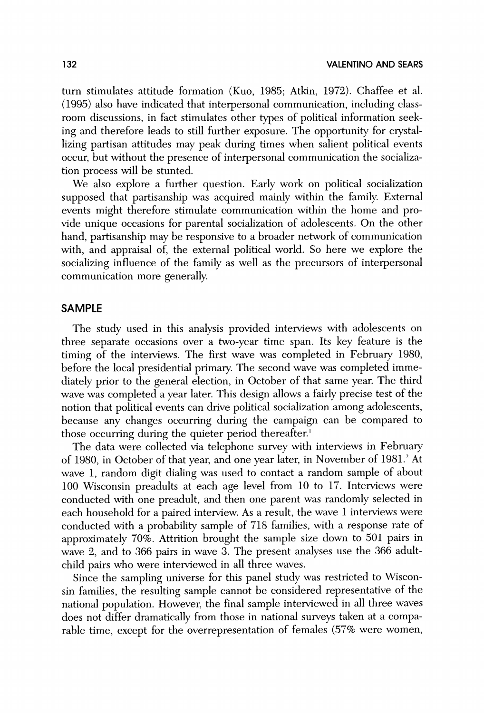**turn stimulates attitude formation (Kuo, 1985; Atkin, 1972). Chaffee et al. (1995) also have indicated that interpersonal communication, including classroom discussions, in fact stimulates other types of political information seeking and therefore leads to still further exposure. The opportunity for crystallizing partisan attitudes may peak during times when salient political events occur, but without the presence of interpersonal communication the socialization process will be stunted.** 

**We also explore a further question. Early work on political socialization supposed that partisanship was acquired mainly within the family. External events might therefore stimulate communication within the home and provide unique occasions for parental socialization of adolescents. On the other hand, partisanship may be responsive to a broader network of communication with, and appraisal of, the external political world. So here we explore the socializing influence of the family as well as the precursors of interpersonal communication more generally.** 

# **SAMPLE**

**The study used in this analysis provided interviews with adolescents on three separate occasions over a two-year time span. Its key feature is the timing of the interviews. The first wave was completed in February 1980, before the local presidential primary. The second wave was completed immediately prior to the general election, in October of that same year. The third wave was completed a year later. This design allows a fairly precise test of the notion that political events can drive political socialization among adolescents, because any changes occurring during the campaign can be compared to those occurring during the quieter period thereafter.'** 

**The data were collected via telephone survey with interviews in February**  of 1980, in October of that year, and one year later, in November of 1981.<sup>2</sup> At **wave 1, random digit dialing was used to contact a random sample of about 100 Wisconsin preadults at each age level from 10 to 17. Interviews were conducted with one preadult, and then one parent was randomly selected in each household for a paired interview. As a result, the wave 1 interviews were conducted with a probability sample of 718 families, with a response rate of approximately 70%. Attrition brought the sample size down to 501 pairs in**  wave 2, and to 366 pairs in wave 3. The present analyses use the 366 adult**child pairs who were interviewed in all three waves.** 

**Since the sampling universe for this panel study was restricted to Wisconsin families, the resulting sample cannot be considered representative of the national population. However, the final sample interviewed in all three waves does not differ dramatically from those in national surveys taken at a comparable time, except for the overrepresentation of females (57% were women,**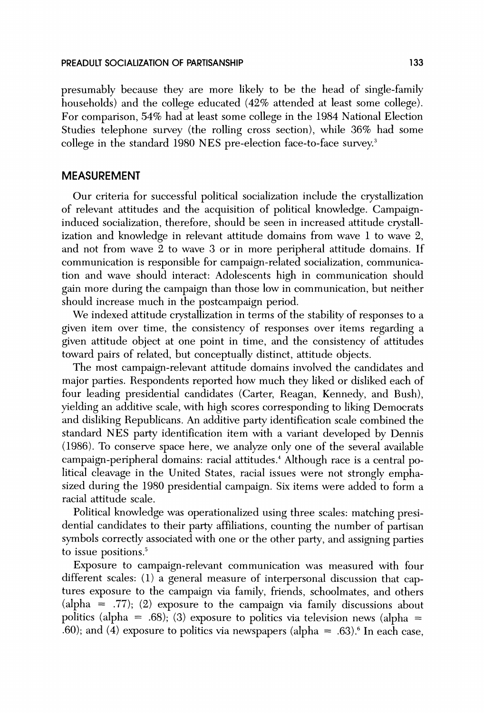**presumably because they are more likely to be the head of single-family households) and the college educated (42% attended at least some college). For comparison, 54% had at least some college in the 1984 National Election Studies telephone survey (the rolling cross section), while 36% had some college in the standard 1980 NES pre-election face-to-face survey.3** 

# **MEASUREMENT**

**Our criteria for successful political socialization include the crystallization of relevant attitudes and the acquisition of political knowledge. Campaigninduced socialization, therefore, should be seen in increased attitude crystallization and knowledge in relevant attitude domains from wave 1 to wave 2, and not from wave 2 to wave 3 or in more peripheral attitude domains. If communication is responsible for campaign-related socialization, communication and wave should interact: Adolescents high in communication should gain more during the campaign than those low in communication, but neither should increase much in the postcampaign period.** 

**We indexed attitude crystallization in terms of the stability of responses to a given item over time, the consistency of responses over items regarding a given attitude object at one point in time, and the consistency of attitudes toward pairs of related, but conceptually distinct, attitude objects.** 

**The most campaign-relevant attitude domains involved the candidates and major parties. Respondents reported how much they liked or disliked each of four leading presidential candidates (Carter, Reagan, Kennedy, and Bush), yielding an additive scale, with high scores corresponding to liking Democrats and disliking Republicans. An additive party identification scale combined the standard NES party identification item with a variant developed by Dennis (1986). To conserve space here, we analyze only one of the several available campaign-peripheral domains: racial attitudes.4 Although race is a central political cleavage in the United States, racial issues were not strongly emphasized during the 1980 presidential campaign. Six items were added to form a racial attitude scale.** 

**Political knowledge was operationalized using three scales: matching presidential candidates to their party affiliations, counting the number of partisan symbols correctly associated with one or the other party, and assigning parties to issue positions.5** 

**Exposure to campaign-relevant communication was measured with four different scales: (1) a general measure of interpersonal discussion that captures exposure to the campaign via family, friends, schoolmates, and others (alpha = .77); (2) exposure to the campaign via family discussions about politics (alpha = .68); (3) exposure to politics via television news (alpha = .60); and (4) exposure to politics via newspapers (alpha = .63).6 In each case,**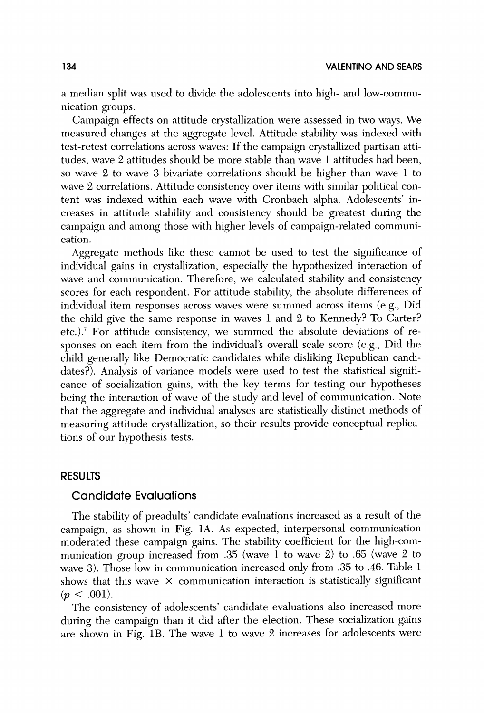**a median split was used to divide the adolescents into high- and low-communication groups.** 

**Campaign effects on attitude crystallization were assessed in two ways. We measured changes at the aggregate level. Attitude stability was indexed with test-retest correlations across waves: If the campaign crystallized partisan attitudes, wave 2 attitudes should be more stable than wave 1 attitudes had been, so wave 2 to wave 3 bivariate correlations should be higher than wave 1 to wave 2 correlations. Attitude consistency over items with similar political content was indexed within each wave with Cronbach alpha. Adolescents' increases in attitude stability and consistency should be greatest during the campaign and among those with higher levels of campaign-related communication.** 

**Aggregate methods like these cannot be used to test the significance of individual gains in crystallization, especially the hypothesized interaction of wave and communication. Therefore, we calculated stability and consistency scores for each respondent. For attitude stability, the absolute differences of individual item responses across waves were summed across items (e.g., Did the child give the same response in waves 1 and 2 to Kennedy? To Carter? etc.).7 For attitude consistency, we summed the absolute deviations of responses on each item from the individual's overall scale score (e.g., Did the child generally like Democratic candidates while disliking Republican candidates?). Analysis of variance models were used to test the statistical significance of socialization gains, with the key terms for testing our hypotheses being the interaction of wave of the study and level of communication. Note that the aggregate and individual analyses are statistically distinct methods of measuring attitude crystallization, so their results provide conceptual replications of our hypothesis tests.** 

## **RESULTS**

# **Candidate Evaluations**

**The stability of preadults' candidate evaluations increased as a result of the campaign, as shown in Fig. 1A. As expected, interpersonal communication moderated these campaign gains. The stability coefficient for the high-communication group increased from .35 (wave 1 to wave 2) to .65 (wave 2 to wave 3). Those low in communication increased only from .35 to .46. Table 1 shows that this wave X communication interaction is statistically significant**   $(p < .001)$ .

**The consistency of adolescents' candidate evaluations also increased more during the campaign than it did after the election. These socialization gains are shown in Fig. 1B. The wave 1 to wave 2 increases for adolescents were**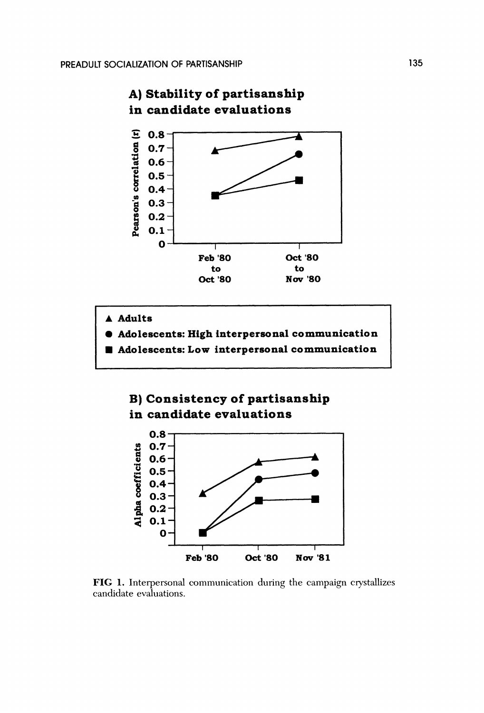

# **A) Stability of partisanship in candidate evaluations**

- **Adults A**
- **Adolescents: High interpersonal communication**
- **Adolescents: Low interpersonal communication \*I**



**FIG 1. Interpersonal communication during the campaign crystallizes candidate evaluations.**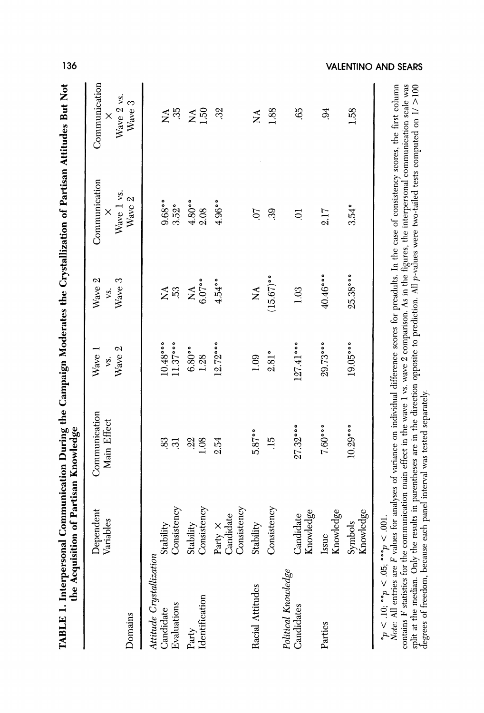| Wave 1<br>Communication | Wave 2                 | Communication                               | Communication                     |
|-------------------------|------------------------|---------------------------------------------|-----------------------------------|
| Ś<br>Main Effect        | vs.                    |                                             |                                   |
|                         |                        | Wave 2                                      | Wave 2 vs.<br>Wave 3              |
|                         |                        |                                             | $\tilde{\mathbf{z}}$              |
| $11.37$ °°°             | $\ddot{5}$             | 3.52 <sup>o</sup>                           | 35                                |
| $6.80$ <sup>o.</sup>    | $\lessapprox$          | $4.80$ °°                                   | $\tilde{M}$                       |
| 1.28                    |                        | 2.08                                        | 1.50                              |
| $12.72$ ***             | $4.54$ °°              | 4.96                                        | 32                                |
| 1.09                    | $\tilde{\mathbf{z}}$   | 50                                          | $\tilde{\mathbf{z}}$              |
| $2.81$ °                | $(15.67)$ <sup>o</sup> | 39                                          | 1.88                              |
| 127.41 °**              | 1.03                   | $\overline{0}$                              | 85                                |
| 29.73 ***               | $40.46$ °°             | 2.17                                        | 94                                |
| 19.05 ***<br>10.29      | 25.38                  | 3.54°                                       | 1.58                              |
|                         |                        |                                             |                                   |
| $10.48$ ***<br>Wave 2   |                        | Wave 3<br>$6.07$ °°<br>$\tilde{\mathbf{z}}$ | Wave 1 vs.<br>$9.68$ <sup>*</sup> |

# **TABLE 1. Interpersonal Communication During the CAMPAIGN MODERATES THE CRYSTALLIZATION OF PARTISAN ATTITUDES BUT NOTE ATTITUDES ATTITUDES ATTITUDES ATTITUDES ATTITUDES ATTITUDES ATTITUDES ATTITUDES ATTITUDES ATTITUDES ATT**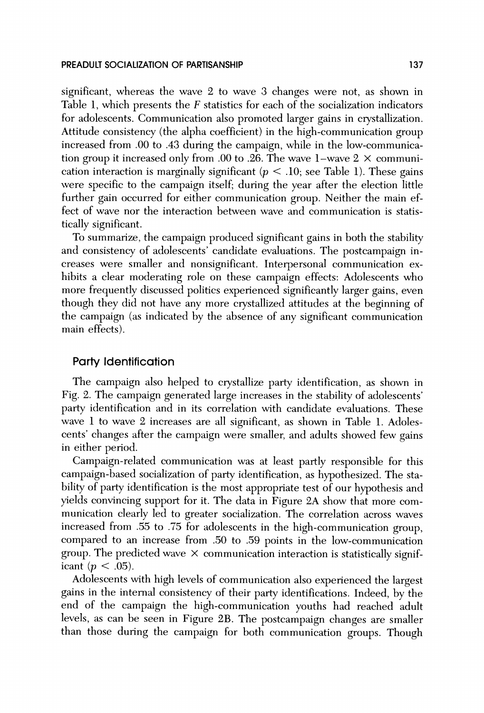**significant, whereas the wave 2 to wave 3 changes were not, as shown in Table 1, which presents the F statistics for each of the socialization indicators for adolescents. Communication also promoted larger gains in crystallization. Attitude consistency (the alpha coefficient) in the high-communication group increased from .00 to .43 during the campaign, while in the low-communication group it increased only from .00 to .26. The wave 1-wave 2 X communi**cation interaction is marginally significant ( $p < 0.10$ ; see Table 1). These gains **were specific to the campaign itself; during the year after the election little further gain occurred for either communication group. Neither the main effect of wave nor the interaction between wave and communication is statistically significant.** 

**To summarize, the campaign produced significant gains in both the stability and consistency of adolescents' candidate evaluations. The postcampaign increases were smaller and nonsignificant. Interpersonal communication exhibits a clear moderating role on these campaign effects: Adolescents who more frequently discussed politics experienced significantly larger gains, even though they did not have any more crystallized attitudes at the beginning of the campaign (as indicated by the absence of any significant communication main effects).** 

## **Party Identification**

**The campaign also helped to crystallize party identification, as shown in Fig. 2. The campaign generated large increases in the stability of adolescents' party identification and in its correlation with candidate evaluations. These wave 1 to wave 2 increases are all significant, as shown in Table 1. Adolescents' changes after the campaign were smaller, and adults showed few gains in either period.** 

**Campaign-related communication was at least partly responsible for this campaign-based socialization of party identification, as hypothesized. The stability of party identification is the most appropriate test of our hypothesis and yields convincing support for it. The data in Figure 2A show that more communication clearly led to greater socialization. The correlation across waves increased from .55 to .75 for adolescents in the high-communication group, compared to an increase from .50 to .59 points in the low-communication group. The predicted wave X communication interaction is statistically signif**icant  $(p < .05)$ .

**Adolescents with high levels of communication also experienced the largest gains in the internal consistency of their party identifications. Indeed, by the end of the campaign the high-communication youths had reached adult levels, as can be seen in Figure 2B. The postcampaign changes are smaller than those during the campaign for both communication groups. Though**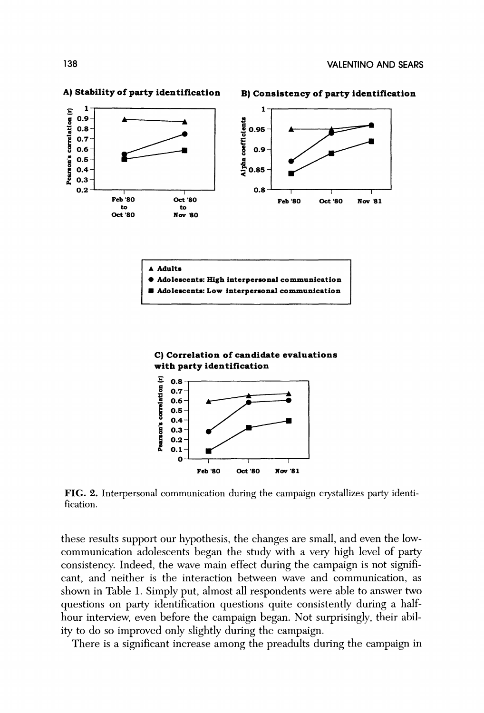



**FIG. 2. Interpersonal communication during the campaign crystallizes party identification.** 

**these results support our hypothesis, the changes are small, and even the lowcommunication adolescents began the study with a very high level of party consistency. Indeed, the wave main effect during the campaign is not significant, and neither is the interaction between wave and communication, as shown in Table 1. Simply put, almost all respondents were able to answer two questions on party identification questions quite consistently during a halfhour interview, even before the campaign began. Not surprisingly, their ability to do so improved only slightly during the campaign.** 

**There is a significant increase among the preadults during the campaign in**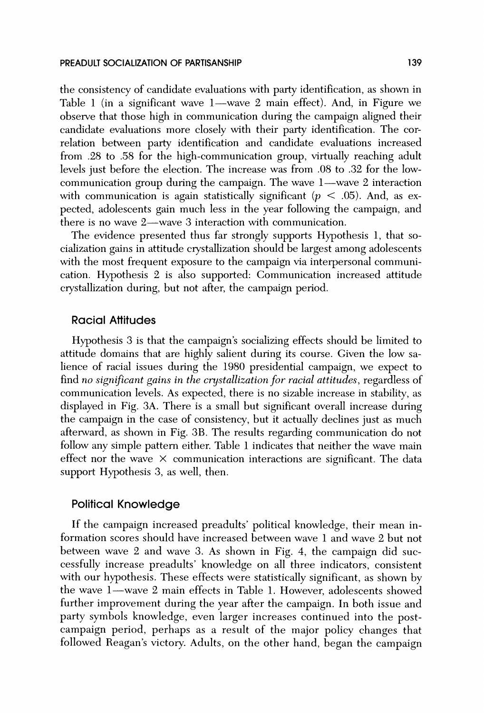**the consistency of candidate evaluations with party identification, as shown in**  Table 1 (in a significant wave 1—wave 2 main effect). And, in Figure we **observe that those high in communication during the campaign aligned their candidate evaluations more closely with their party identification. The correlation between party identification and candidate evaluations increased from .28 to .58 for the high-communication group, virtually reaching adult levels just before the election. The increase was from .08 to .32 for the low**communication group during the campaign. The wave 1—wave 2 interaction with communication is again statistically significant  $(p < .05)$ . And, as ex**pected, adolescents gain much less in the year following the campaign, and**  there is no wave 2—wave 3 interaction with communication.

**The evidence presented thus far strongly supports Hypothesis 1, that socialization gains in attitude crystallization should be largest among adolescents with the most frequent exposure to the campaign via interpersonal communication. Hypothesis 2 is also supported: Communication increased attitude crystallization during, but not after, the campaign period.** 

# **Racial Attitudes**

**Hypothesis 3 is that the campaign's socializing effects should be limited to attitude domains that are highly salient during its course. Given the low salience of racial issues during the 1980 presidential campaign, we expect to**  find no significant gains in the crystallization for racial attitudes, regardless of **communication levels. As expected, there is no sizable increase in stability, as displayed in Fig. 3A. There is a small but significant overall increase during the campaign in the case of consistency, but it actually declines just as much afterward, as shown in Fig. 3B. The results regarding communication do not follow any simple pattern either. Table 1 indicates that neither the wave main effect nor the wave x communication interactions are significant. The data support Hypothesis 3, as well, then.** 

## **Political Knowledge**

**If the campaign increased preadults' political knowledge, their mean information scores should have increased between wave 1 and wave 2 but not between wave 2 and wave 3. As shown in Fig. 4, the campaign did successfully increase preadults' knowledge on all three indicators, consistent with our hypothesis. These effects were statistically significant, as shown by the wave 1-wave 2 main effects in Table 1. However, adolescents showed further improvement during the year after the campaign. In both issue and party symbols knowledge, even larger increases continued into the postcampaign period, perhaps as a result of the major policy changes that followed Reagan's victory. Adults, on the other hand, began the campaign**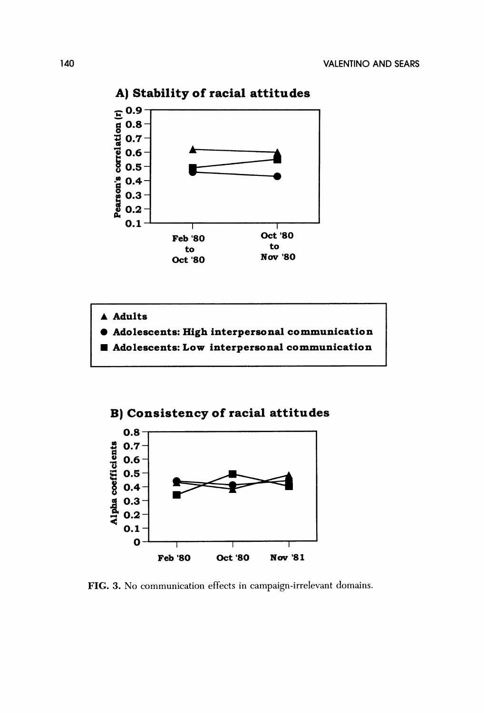

# **A) Stability of racial attitudes**

- **A Adults**
- **\* Adolescents: High interpersonal communication**
- **\* Adolescents: Low interpersonal communication**



**FIG. 3. No communication effects in campaign-irrelevant domains.**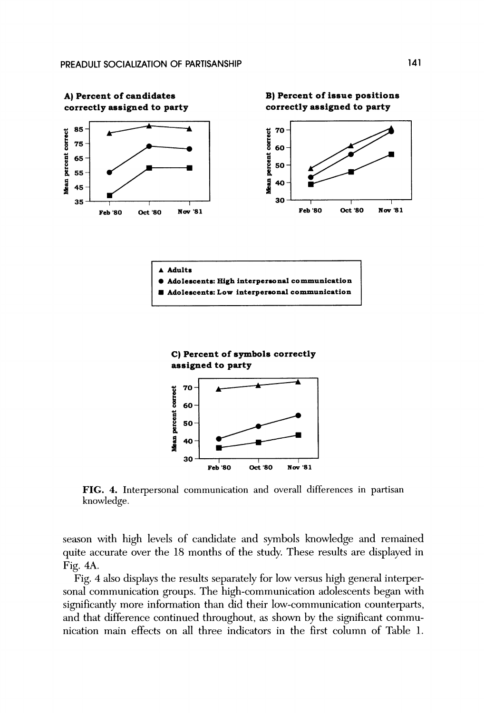

**FIG. 4. Interpersonal communication and overall differences in partisan knowledge.** 

**season with high levels of candidate and symbols knowledge and remained quite accurate over the 18 months of the study. These results are displayed in Fig. 4A.** 

**Fig. 4 also displays the results separately for low versus high general interpersonal communication groups. The high-communication adolescents began with significantly more information than did their low-communication counterparts, and that difference continued throughout, as shown by the significant communication main effects on all three indicators in the first column of Table 1.**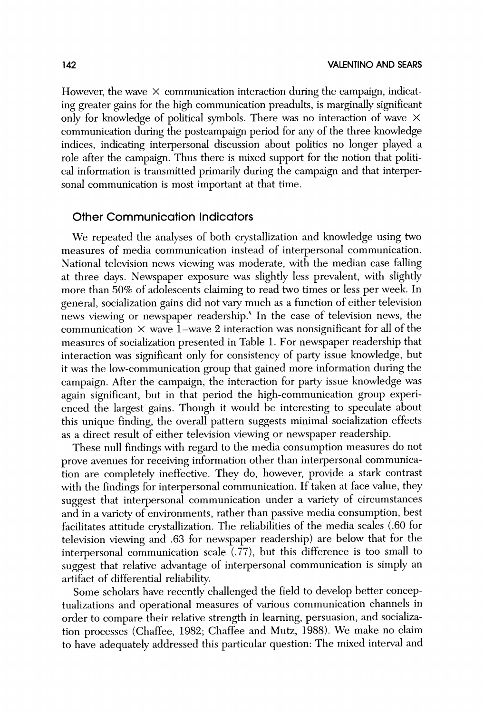However, the wave  $\times$  communication interaction during the campaign, indicat**ing greater gains for the high communication preadults, is marginally significant only for knowledge of political symbols. There was no interaction of wave X communication during the postcampaign period for any of the three knowledge indices, indicating interpersonal discussion about politics no longer played a role after the campaign. Thus there is mixed support for the notion that political information is transmitted primarily during the campaign and that interpersonal communication is most important at that time.** 

## **Other Communication Indicators**

**We repeated the analyses of both crystallization and knowledge using two measures of media communication instead of interpersonal communication. National television news viewing was moderate, with the median case falling at three days. Newspaper exposure was slightly less prevalent, with slightly more than 50% of adolescents claiming to read two times or less per week. In general, socialization gains did not vary much as a function of either television news viewing or newspaper readership.8 In the case of television news, the communication X wave 1-wave 2 interaction was nonsignificant for all of the measures of socialization presented in Table 1. For newspaper readership that interaction was significant only for consistency of party issue knowledge, but it was the low-communication group that gained more information during the campaign. After the campaign, the interaction for party issue knowledge was again significant, but in that period the high-communication group experienced the largest gains. Though it would be interesting to speculate about this unique finding, the overall pattern suggests minimal socialization effects as a direct result of either television viewing or newspaper readership.** 

**These null findings with regard to the media consumption measures do not prove avenues for receiving information other than interpersonal communication are completely ineffective. They do, however, provide a stark contrast with the findings for interpersonal communication. If taken at face value, they suggest that interpersonal communication under a variety of circumstances and in a variety of environments, rather than passive media consumption, best facilitates attitude crystallization. The reliabilities of the media scales (.60 for television viewing and .63 for newspaper readership) are below that for the interpersonal communication scale (.77), but this difference is too small to suggest that relative advantage of interpersonal communication is simply an artifact of differential reliability.** 

**Some scholars have recently challenged the field to develop better conceptualizations and operational measures of various communication channels in order to compare their relative strength in learning, persuasion, and socialization processes (Chaffee, 1982; Chaffee and Mutz, 1988). We make no claim to have adequately addressed this particular question: The mixed interval and**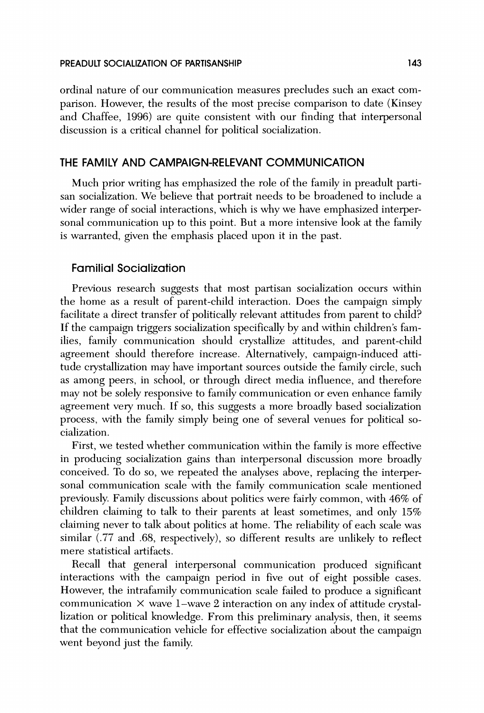**ordinal nature of our communication measures precludes such an exact comparison. However, the results of the most precise comparison to date (Kinsey and Chaffee, 1996) are quite consistent with our finding that interpersonal discussion is a critical channel for political socialization.** 

## **THE FAMILY AND CAMPAIGN-RELEVANT COMMUNICATION**

**Much prior writing has emphasized the role of the family in preadult partisan socialization. We believe that portrait needs to be broadened to include a wider range of social interactions, which is why we have emphasized interpersonal communication up to this point. But a more intensive look at the family is warranted, given the emphasis placed upon it in the past.** 

# **Familial Socialization**

**Previous research suggests that most partisan socialization occurs within the home as a result of parent-child interaction. Does the campaign simply facilitate a direct transfer of politically relevant attitudes from parent to child? If the campaign triggers socialization specifically by and within children's families, family communication should crystallize attitudes, and parent-child agreement should therefore increase. Alternatively, campaign-induced attitude crystallization may have important sources outside the family circle, such as among peers, in school, or through direct media influence, and therefore may not be solely responsive to family communication or even enhance family agreement very much. If so, this suggests a more broadly based socialization process, with the family simply being one of several venues for political socialization.** 

**First, we tested whether communication within the family is more effective in producing socialization gains than interpersonal discussion more broadly conceived. To do so, we repeated the analyses above, replacing the interpersonal communication scale with the family communication scale mentioned previously. Family discussions about politics were fairly common, with 46% of children claiming to talk to their parents at least sometimes, and only 15% claiming never to talk about politics at home. The reliability of each scale was similar (.77 and .68, respectively), so different results are unlikely to reflect mere statistical artifacts.** 

**Recall that general interpersonal communication produced significant interactions with the campaign period in five out of eight possible cases. However, the intrafamily communication scale failed to produce a significant communication X wave 1-wave 2 interaction on any index of attitude crystallization or political knowledge. From this preliminary analysis, then, it seems that the communication vehicle for effective socialization about the campaign went beyond just the family.**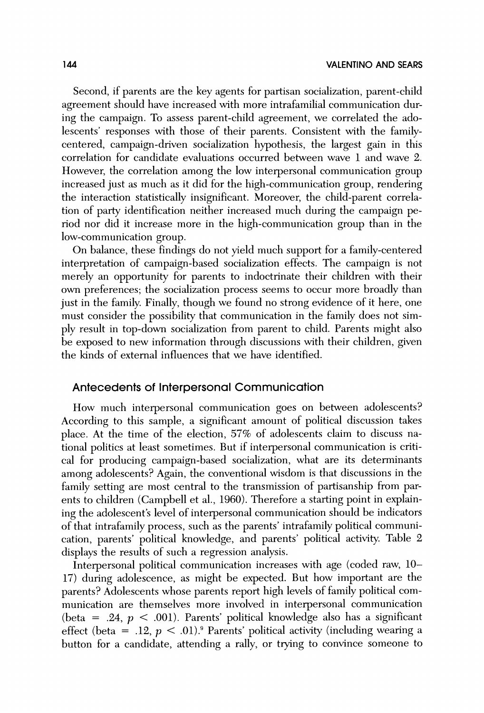**Second, if parents are the key agents for partisan socialization, parent-child agreement should have increased with more intrafamilial communication during the campaign. To assess parent-child agreement, we correlated the adolescents' responses with those of their parents. Consistent with the familycentered, campaign-driven socialization hypothesis, the largest gain in this correlation for candidate evaluations occurred between wave 1 and wave 2. However, the correlation among the low interpersonal communication group increased just as much as it did for the high-communication group, rendering the interaction statistically insignificant. Moreover, the child-parent correlation of party identification neither increased much during the campaign period nor did it increase more in the high-communication group than in the low-communication group.** 

**On balance, these findings do not yield much support for a family-centered interpretation of campaign-based socialization effects. The campaign is not merely an opportunity for parents to indoctrinate their children with their own preferences; the socialization process seems to occur more broadly than just in the family. Finally, though we found no strong evidence of it here, one must consider the possibility that communication in the family does not simply result in top-down socialization from parent to child. Parents might also be exposed to new information through discussions with their children, given the kinds of external influences that we have identified.** 

#### **Antecedents of Interpersonal Communication**

**How much interpersonal communication goes on between adolescents? According to this sample, a significant amount of political discussion takes place. At the time of the election, 57% of adolescents claim to discuss national politics at least sometimes. But if interpersonal communication is critical for producing campaign-based socialization, what are its determinants among adolescents? Again, the conventional wisdom is that discussions in the family setting are most central to the transmission of partisanship from parents to children (Campbell et al., 1960). Therefore a starting point in explaining the adolescent's level of interpersonal communication should be indicators of that intrafamily process, such as the parents' intrafamily political communication, parents' political knowledge, and parents' political activity. Table 2 displays the results of such a regression analysis.** 

**Interpersonal political communication increases with age (coded raw, 10- 17) during adolescence, as might be expected. But how important are the parents? Adolescents whose parents report high levels of family political communication are themselves more involved in interpersonal communication (beta = .24, p < .001). Parents' political knowledge also has a significant**  effect (beta = .12,  $p < .01$ ).<sup>9</sup> Parents' political activity (including wearing a **button for a candidate, attending a rally, or trying to convince someone to**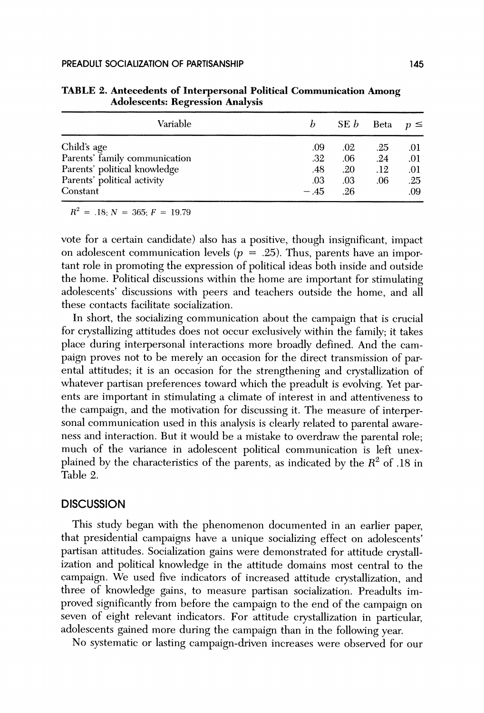| Variable                                                                                                                |                                    |                                     | SE <i>b</i> Beta $p \leq$ |                                 |
|-------------------------------------------------------------------------------------------------------------------------|------------------------------------|-------------------------------------|---------------------------|---------------------------------|
| Child's age<br>Parents' family communication<br>Parents' political knowledge<br>Parents' political activity<br>Constant | .09<br>.32<br>.48<br>.03<br>$-.45$ | $.02\,$<br>.06<br>.20<br>.03<br>.26 | .25<br>.24<br>.12<br>.06  | .01<br>.01<br>.01<br>.25<br>.09 |

**TABLE 2. Antecedents of Interpersonal Political Communication Among Adolescents: Regression Analysis** 

 $R^2 = .18; N = 365; F = 19.79$ 

**vote for a certain candidate) also has a positive, though insignificant, impact**  on adolescent communication levels ( $p = .25$ ). Thus, parents have an impor**tant role in promoting the expression of political ideas both inside and outside the home. Political discussions within the home are important for stimulating adolescents' discussions with peers and teachers outside the home, and all these contacts facilitate socialization.** 

**In short, the socializing communication about the campaign that is crucial for crystallizing attitudes does not occur exclusively within the family; it takes place during interpersonal interactions more broadly defined. And the campaign proves not to be merely an occasion for the direct transmission of parental attitudes; it is an occasion for the strengthening and crystallization of whatever partisan preferences toward which the preadult is evolving. Yet parents are important in stimulating a climate of interest in and attentiveness to the campaign, and the motivation for discussing it. The measure of interpersonal communication used in this analysis is clearly related to parental awareness and interaction. But it would be a mistake to overdraw the parental role; much of the variance in adolescent political communication is left unex**plained by the characteristics of the parents, as indicated by the  $R^2$  of .18 in **Table 2.** 

#### **DISCUSSION**

**This study began with the phenomenon documented in an earlier paper, that presidential campaigns have a unique socializing effect on adolescents' partisan attitudes. Socialization gains were demonstrated for attitude crystallization and political knowledge in the attitude domains most central to the campaign. We used five indicators of increased attitude crystallization, and three of knowledge gains, to measure partisan socialization. Preadults improved significantly from before the campaign to the end of the campaign on seven of eight relevant indicators. For attitude crystallization in particular, adolescents gained more during the campaign than in the following year.** 

**No systematic or lasting campaign-driven increases were observed for our**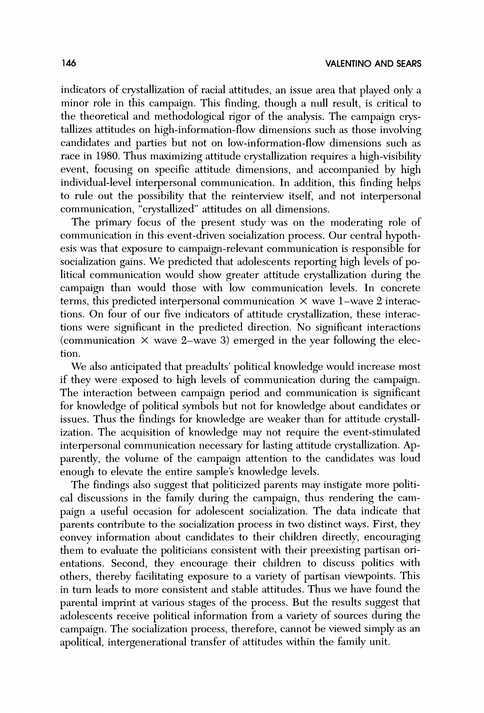**indicators of crystallization of racial attitudes, an issue area that played only a minor role in this campaign. This finding, though a null result, is critical to the theoretical and methodological rigor of the analysis. The campaign crystallizes attitudes on high-information-flow dimensions such as those involving candidates and parties but not on low-information-flow dimensions such as race in 1980. Thus maximizing attitude crystallization requires a high-visibility event, focusing on specific attitude dimensions, and accompanied by high individual-level interpersonal communication. In addition, this finding helps to rule out the possibility that the reinterview itself, and not interpersonal communication, "crystallized" attitudes on all dimensions.** 

**The primary focus of the present study was on the moderating role of communication in this event-driven socialization process. Our central hypothesis was that exposure to campaign-relevant communication is responsible for socialization gains. We predicted that adolescents reporting high levels of political communication would show greater attitude crystallization during the campaign than would those with low communication levels. In concrete terms, this predicted interpersonal communication x wave 1-wave 2 interactions. On four of our five indicators of attitude crystallization, these interactions were significant in the predicted direction. No significant interactions (communication X wave 2-wave 3) emerged in the year following the election.** 

**We also anticipated that preadults' political knowledge would increase most if they were exposed to high levels of communication during the campaign. The interaction between campaign period and communication is significant for knowledge of political symbols but not for knowledge about candidates or issues. Thus the findings for knowledge are weaker than for attitude crystallization. The acquisition of knowledge may not require the event-stimulated interpersonal communication necessary for lasting attitude crystallization. Apparently, the volume of the campaign attention to the candidates was loud enough to elevate the entire sample's knowledge levels.** 

**The findings also suggest that politicized parents may instigate more political discussions in the family during the campaign, thus rendering the campaign a useful occasion for adolescent socialization. The data indicate that parents contribute to the socialization process in two distinct ways. First, they convey information about candidates to their children directly, encouraging them to evaluate the politicians consistent with their preexisting partisan orientations. Second, they encourage their children to discuss politics with others, thereby facilitating exposure to a variety of partisan viewpoints. This in turn leads to more consistent and stable attitudes. Thus we have found the parental imprint at various stages of the process. But the results suggest that adolescents receive political information from a variety of sources during the campaign. The socialization process, therefore, cannot be viewed simply as an apolitical, intergenerational transfer of attitudes within the family unit.**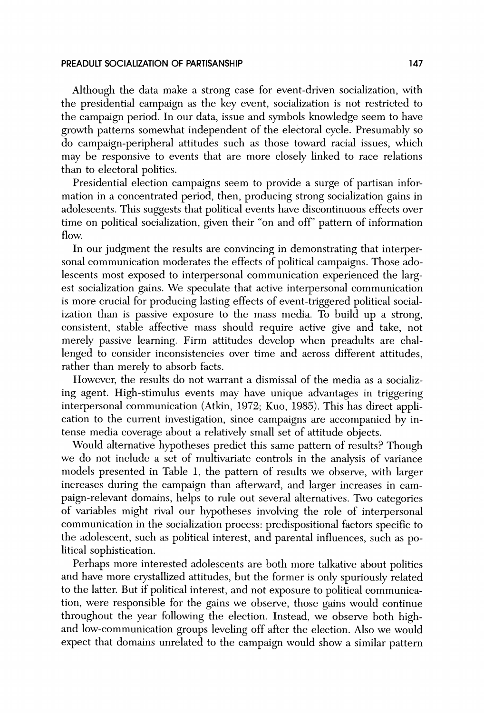**Although the data make a strong case for event-driven socialization, with the presidential campaign as the key event, socialization is not restricted to the campaign period. In our data, issue and symbols knowledge seem to have growth patterns somewhat independent of the electoral cycle. Presumably so do campaign-peripheral attitudes such as those toward racial issues, which may be responsive to events that are more closely linked to race relations than to electoral politics.** 

**Presidential election campaigns seem to provide a surge of partisan information in a concentrated period, then, producing strong socialization gains in adolescents. This suggests that political events have discontinuous effects over time on political socialization, given their "on and off' pattern of information flow.** 

**In our judgment the results are convincing in demonstrating that interpersonal communication moderates the effects of political campaigns. Those adolescents most exposed to interpersonal communication experienced the largest socialization gains. We speculate that active interpersonal communication is more crucial for producing lasting effects of event-triggered political socialization than is passive exposure to the mass media. To build up a strong, consistent, stable affective mass should require active give and take, not merely passive learning. Firm attitudes develop when preadults are challenged to consider inconsistencies over time and across different attitudes, rather than merely to absorb facts.** 

**However, the results do not warrant a dismissal of the media as a socializing agent. High-stimulus events may have unique advantages in triggering interpersonal communication (Atkin, 1972; Kuo, 1985). This has direct application to the current investigation, since campaigns are accompanied by intense media coverage about a relatively small set of attitude objects.** 

**Would alternative hypotheses predict this same pattern of results? Though we do not include a set of multivariate controls in the analysis of variance models presented in Table 1, the pattern of results we observe, with larger increases during the campaign than afterward, and larger increases in campaign-relevant domains, helps to rule out several alternatives. Two categories of variables might rival our hypotheses involving the role of interpersonal communication in the socialization process: predispositional factors specific to the adolescent, such as political interest, and parental influences, such as political sophistication.** 

**Perhaps more interested adolescents are both more talkative about politics and have more crystallized attitudes, but the former is only spuriously related to the latter. But if political interest, and not exposure to political communication, were responsible for the gains we observe, those gains would continue throughout the year following the election. Instead, we observe both highand low-communication groups leveling off after the election. Also we would expect that domains unrelated to the campaign would show a similar pattern**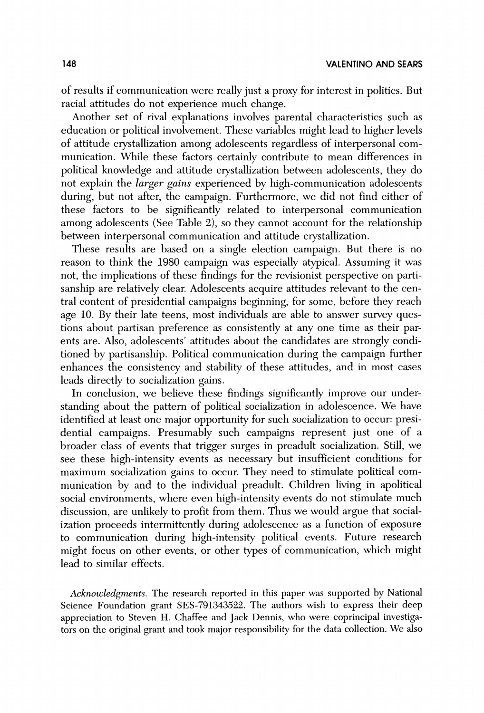**of results if communication were really just a proxy for interest in politics. But racial attitudes do not experience much change.** 

**Another set of rival explanations involves parental characteristics such as education or political involvement. These variables might lead to higher levels of attitude crystallization among adolescents regardless of interpersonal communication. While these factors certainly contribute to mean differences in political knowledge and attitude crystallization between adolescents, they do not explain the larger gains experienced by high-communication adolescents during, but not after, the campaign. Furthermore, we did not find either of these factors to be significantly related to interpersonal communication among adolescents (See Table 2), so they cannot account for the relationship between interpersonal communication and attitude crystallization.** 

**These results are based on a single election campaign. But there is no reason to think the 1980 campaign was especially atypical. Assuming it was not, the implications of these findings for the revisionist perspective on partisanship are relatively clear. Adolescents acquire attitudes relevant to the central content of presidential campaigns beginning, for some, before they reach age 10. By their late teens, most individuals are able to answer survey questions about partisan preference as consistently at any one time as their parents are. Also, adolescents' attitudes about the candidates are strongly conditioned by partisanship. Political communication during the campaign further enhances the consistency and stability of these attitudes, and in most cases leads directly to socialization gains.** 

**In conclusion, we believe these findings significantly improve our understanding about the pattern of political socialization in adolescence. We have identified at least one major opportunity for such socialization to occur: presidential campaigns. Presumably such campaigns represent just one of a broader class of events that trigger surges in preadult socialization. Still, we see these high-intensity events as necessary but insufficient conditions for maximum socialization gains to occur. They need to stimulate political communication by and to the individual preadult. Children living in apolitical social environments, where even high-intensity events do not stimulate much discussion, are unlikely to profit from them. Thus we would argue that socialization proceeds intermittently during adolescence as a function of exposure to communication during high-intensity political events. Future research might focus on other events, or other types of communication, which might lead to similar effects.** 

**Acknowledgments. The research reported in this paper was supported by National Science Foundation grant SES-791343522. The authors wish to express their deep appreciation to Steven H. Chaffee and Jack Dennis, who were coprincipal investigators on the original grant and took major responsibility for the data collection. We also**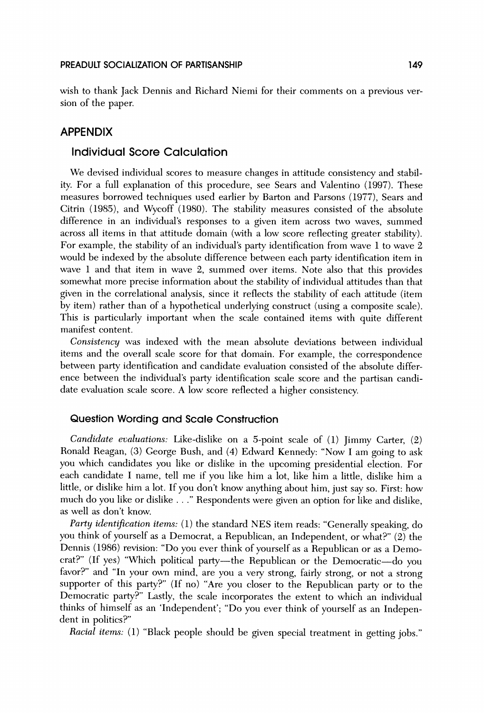**wish to thank Jack Dennis and Richard Niemi for their comments on a previous version of the paper.** 

## **APPENDIX**

# **Individual Score Calculation**

**We devised individual scores to measure changes in attitude consistency and stability. For a full explanation of this procedure, see Sears and Valentino (1997). These measures borrowed techniques used earlier by Barton and Parsons (1977), Sears and Citrin (1985), and Wycoff (1980). The stability measures consisted of the absolute difference in an individual's responses to a given item across two waves, summed across all items in that attitude domain (with a low score reflecting greater stability). For example, the stability of an individual's party identification from wave 1 to wave 2 would be indexed by the absolute difference between each party identification item in wave 1 and that item in wave 2, summed over items. Note also that this provides somewhat more precise information about the stability of individual attitudes than that given in the correlational analysis, since it reflects the stability of each attitude (item by item) rather than of a hypothetical underlying construct (using a composite scale). This is particularly important when the scale contained items with quite different manifest content.** 

**Consistency was indexed with the mean absolute deviations between individual items and the overall scale score for that domain. For example, the correspondence between party identification and candidate evaluation consisted of the absolute difference between the individual's party identification scale score and the partisan candidate evaluation scale score. A low score reflected a higher consistency.** 

#### **Question Wording and Scale Construction**

**Candidate evaluations: Like-dislike on a 5-point scale of (1) Jimmy Carter, (2) Ronald Reagan, (3) George Bush, and (4) Edward Kennedy: "Now I am going to ask you which candidates you like or dislike in the upcoming presidential election. For each candidate I name, tell me if you like him a lot, like him a little, dislike him a little, or dislike him a lot. If you don't know anything about him, just say so. First: how much do you like or dislike ..." Respondents were given an option for like and dislike, as well as don't know.** 

**Party identification items: (1) the standard NES item reads: "Generally speaking, do you think of yourself as a Democrat, a Republican, an Independent, or what?" (2) the Dennis (1986) revision: "Do you ever think of yourself as a Republican or as a Demo**crat?" (If yes) "Which political party---the Republican or the Democratic--do you **favor?" and "In your own mind, are you a very strong, fairly strong, or not a strong supporter of this party?" (If no) "Are you closer to the Republican party or to the Democratic party?" Lastly, the scale incorporates the extent to which an individual thinks of himself as an 'Independent'; "Do you ever think of yourself as an Independent in politics?"** 

**Racial items: (1) "Black people should be given special treatment in getting jobs."**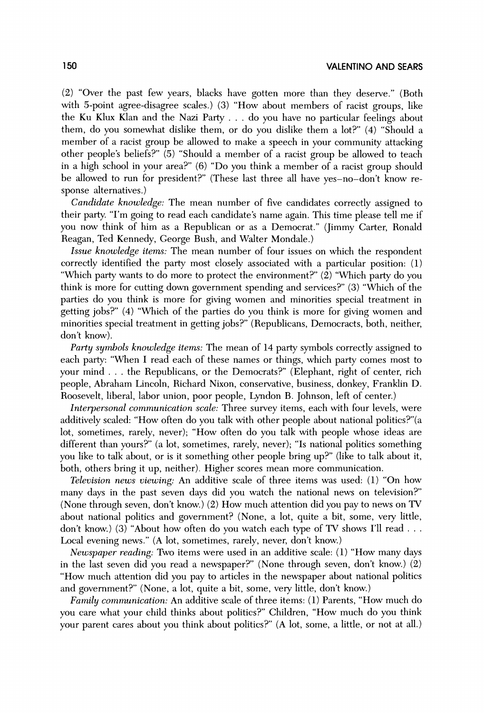**(2) "Over the past few years, blacks have gotten more than they deserve." (Both with 5-point agree-disagree scales.) (3) "How about members of racist groups, like the Ku Klux Klan and the Nazi Party ... do you have no particular feelings about them, do you somewhat dislike them, or do you dislike them a lot?" (4) "Should a member of a racist group be allowed to make a speech in your community attacking other people's beliefs?" (5) "Should a member of a racist group be allowed to teach in a high school in your area?" (6) "Do you think a member of a racist group should be allowed to run for president?" (These last three all have yes-no-don't know response alternatives.)** 

**Candidate knowledge: The mean number of five candidates correctly assigned to their party. "I'm going to read each candidate's name again. This time please tell me if you now think of him as a Republican or as a Democrat." (Jimmy Carter, Ronald Reagan, Ted Kennedy, George Bush, and Walter Mondale.)** 

**Issue knowledge items: The mean number of four issues on which the respondent correctly identified the party most closely associated with a particular position: (1) "Which party wants to do more to protect the environment?" (2) "Which party do you think is more for cutting down government spending and services?" (3) "Which of the parties do you think is more for giving women and minorities special treatment in getting jobs?" (4) "Which of the parties do you think is more for giving women and minorities special treatment in getting jobs?" (Republicans, Democracts, both, neither, don't know).** 

**Party symbols knowledge items: The mean of 14 party symbols correctly assigned to each party: "When I read each of these names or things, which party comes most to your mind . . . the Republicans, or the Democrats?" (Elephant, right of center, rich people, Abraham Lincoln, Richard Nixon, conservative, business, donkey, Franklin D. Roosevelt, liberal, labor union, poor people, Lyndon B. Johnson, left of center.)** 

**Interpersonal communication scale: Three survey items, each with four levels, were additively scaled: "How often do you talk with other people about national politics?"(a lot, sometimes, rarely, never); "How often do you talk with people whose ideas are different than yours?" (a lot, sometimes, rarely, never); "Is national politics something you like to talk about, or is it something other people bring up?" (like to talk about it, both, others bring it up, neither). Higher scores mean more communication.** 

**Television news viewing: An additive scale of three items was used: (1) "On how many days in the past seven days did you watch the national news on television?" (None through seven, don't know.) (2) How much attention did you pay to news on TV about national politics and government? (None, a lot, quite a bit, some, very little,**  don't know.) (3) "About how often do you watch each type of TV shows I'll read . . . **Local evening news." (A lot, sometimes, rarely, never, don't know.)** 

**Newspaper reading: Two items were used in an additive scale: (1) "How many days in the last seven did you read a newspaper?" (None through seven, don't know.) (2) "How much attention did you pay to articles in the newspaper about national politics and government?" (None, a lot, quite a bit, some, very little, don't know.)** 

**Family communication: An additive scale of three items: (1) Parents, "How much do you care what your child thinks about politics?" Children, "How much do you think your parent cares about you think about politics?" (A lot, some, a little, or not at all.)**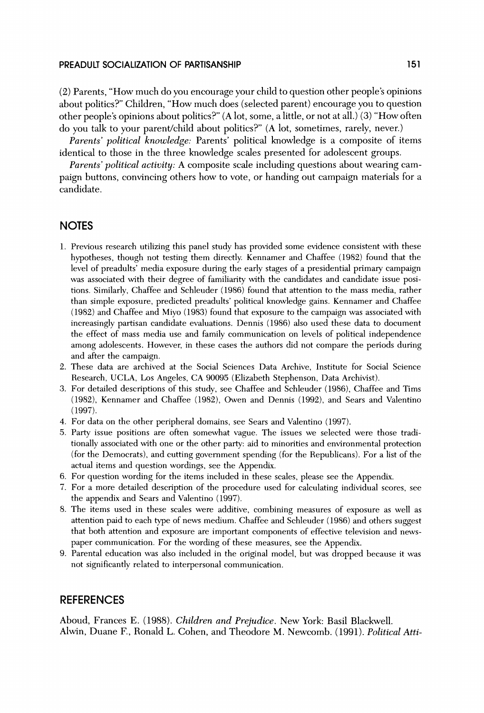**(2) Parents, "How much do you encourage your child to question other people's opinions about politics?" Children, "How much does (selected parent) encourage you to question other people's opinions about politics?" (A lot, some, a little, or not at all.) (3) "How often do you talk to your parent/child about politics?" (A lot, sometimes, rarely, never.)** 

**Parents' political knowledge: Parents' political knowledge is a composite of items identical to those in the three knowledge scales presented for adolescent groups.** 

**Parents' political activity: A composite scale including questions about wearing campaign buttons, convincing others how to vote, or handing out campaign materials for a candidate.** 

# **NOTES**

- **1. Previous research utilizing this panel study has provided some evidence consistent with these hypotheses, though not testing them directly. Kennamer and Chaffee (1982) found that the level of preadults' media exposure during the early stages of a presidential primary campaign was associated with their degree of familiarity with the candidates and candidate issue positions. Similarly, Chaffee and Schleuder (1986) found that attention to the mass media, rather than simple exposure, predicted preadults' political knowledge gains. Kennamer and Chaffee (1982) and Chaffee and Miyo (1983) found that exposure to the campaign was associated with increasingly partisan candidate evaluations. Dennis (1986) also used these data to document the effect of mass media use and family communication on levels of political independence among adolescents. However, in these cases the authors did not compare the periods during and after the campaign.**
- **2. These data are archived at the Social Sciences Data Archive, Institute for Social Science Research, UCLA, Los Angeles, CA 90095 (Elizabeth Stephenson, Data Archivist).**
- **3. For detailed descriptions of this study, see Chaffee and Schleuder (1986), Chaffee and Tims (1982), Kennamer and Chaffee (1982), Owen and Dennis (1992), and Sears and Valentino (1997).**
- **4. For data on the other peripheral domains, see Sears and Valentino (1997).**
- **5. Party issue positions are often somewhat vague. The issues we selected were those traditionally associated with one or the other party: aid to minorities and environmental protection (for the Democrats), and cutting government spending (for the Republicans). For a list of the actual items and question wordings, see the Appendix.**
- **6. For question wording for the items included in these scales, please see the Appendix.**
- **7. For a more detailed description of the procedure used for calculating individual scores, see the appendix and Sears and Valentino (1997).**
- **8. The items used in these scales were additive, combining measures of exposure as well as attention paid to each type of news medium. Chaffee and Schleuder (1986) and others suggest that both attention and exposure are important components of effective television and newspaper communication. For the wording of these measures, see the Appendix.**
- **9. Parental education was also included in the original model, but was dropped because it was not significantly related to interpersonal communication.**

#### **REFERENCES**

**Aboud, Frances E. (1988). Children and Prejudice. New York: Basil Blackwell. Alwin, Duane F., Ronald L. Cohen, and Theodore M. Newcomb. (1991). Political Atti-**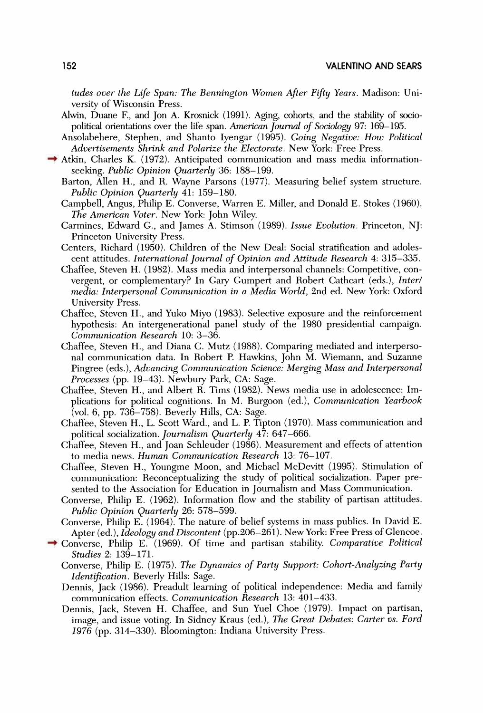**tudes over the Life Span: The Bennington Women After Fifty Years. Madison: University of Wisconsin Press.** 

- **Alwin, Duane E, and Jon A. Krosnick (1991). Aging, cohorts, and the stability of sociopolitical orientations over the life span. American Journal of Sociology 97: 169-195.**
- **Ansolabehere, Stephen, and Shanto Iyengar (1995). Going Negative: How Political Advertisements Shrink and Polarize the Electorate. New York: Free Press.**
- **Atkin, Charles K. (1972). Anticipated communication and mass media informationseeking. Public Opinion Quarterly 36: 188-199.** 
	- **Barton, Allen H., and R. Wayne Parsons (1977). Measuring belief system structure. Public Opinion Quarterly 41: 159-180.**
	- **Campbell, Angus, Philip E. Converse, Warren E. Miller, and Donald E. Stokes (1960). The American Voter. New York: John Wiley.**
	- **Carmines, Edward G., and James A. Stimson (1989). Issue Evolution. Princeton, NJ: Princeton University Press.**
	- **Centers, Richard (1950). Children of the New Deal: Social stratification and adolescent attitudes. International Journal of Opinion and Attitude Research 4: 315-335.**
	- **Chaffee, Steven H. (1982). Mass media and interpersonal channels: Competitive, convergent, or complementary? In Gary Gumpert and Robert Cathcart (eds.), Inter/ media: Interpersonal Communication in a Media World, 2nd ed. New York: Oxford University Press.**
	- **Chaffee, Steven H., and Yuko Miyo (1983). Selective exposure and the reinforcement hypothesis: An intergenerational panel study of the 1980 presidential campaign. Communication Research 10: 3-36.**
	- **Chaffee, Steven H., and Diana C. Mutz (1988). Comparing mediated and interpersonal communication data. In Robert P. Hawkins, John M. Wiemann, and Suzanne Pingree (eds.), Advancing Communication Science: Merging Mass and Interpersonal Processes (pp. 19-43). Newbury Park, CA: Sage.**
	- **Chaffee, Steven H., and Albert R. Tims (1982). News media use in adolescence: Implications for political cognitions. In M. Burgoon (ed.), Communication Yearbook (vol. 6, pp. 736-758). Beverly Hills, CA: Sage.**
	- **Chaffee, Steven H., L. Scott Ward., and L. P. Tipton (1970). Mass communication and political socialization. Journalism Quarterly 47: 647-666.**
	- **Chaffee, Steven H., and Joan Schleuder (1986). Measurement and effects of attention to media news. Human Communication Research 13: 76-107.**
	- **Chaffee, Steven H., Youngme Moon, and Michael McDevitt (1995). Stimulation of communication: Reconceptualizing the study of political socialization. Paper presented to the Association for Education in Journalism and Mass Communication.**
	- **Converse, Philip E. (1962). Information flow and the stability of partisan attitudes. Public Opinion Quarterly 26: 578-599.**
	- **Converse, Philip E. (1964). The nature of belief systems in mass publics. In David E. Apter (ed.), Ideology and Discontent (pp.206-261). New York: Free Press of Glencoe.**
- **Converse, Philip E. (1969). Of time and partisan stability. Comparative Political Studies 2: 139-171.** 
	- **Converse, Philip E. (1975). The Dynamics of Party Support: Cohort-Analyzing Party Identification. Beverly Hills: Sage.**
	- **Dennis, Jack (1986). Preadult learning of political independence: Media and family communication effects. Communication Research 13: 401-433.**
	- **Dennis, Jack, Steven H. Chaffee, and Sun Yuel Choe (1979). Impact on partisan, image, and issue voting. In Sidney Kraus (ed.), The Great Debates: Carter vs. Ford 1976 (pp. 314-330). Bloomington: Indiana University Press.**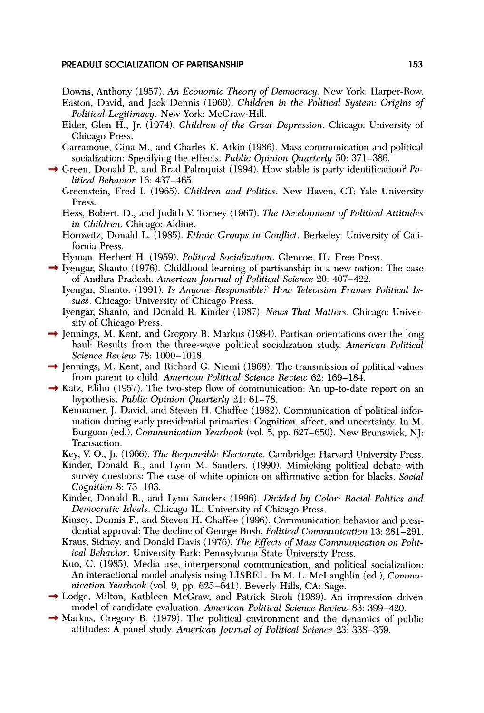- **Downs, Anthony (1957). An Economic Theory of Democracy. New York: Harper-Row.**
- **Easton, David, and Jack Dennis (1969). Children in the Political System: Origins of Political Legitimacy. New York: McGraw-Hill.**
- **Elder, Glen H., Jr. (1974). Children of the Great Depression. Chicago: University of Chicago Press.**
- **Garramone, Gina M., and Charles K. Atkin (1986). Mass communication and political socialization: Specifying the effects. Public Opinion Quarterly 50: 371-386.**
- **→ Green, Donald P., and Brad Palmquist (1994). How stable is party identification? Political Behavior 16: 437-465.** 
	- **Greenstein, Fred I. (1965). Children and Politics. New Haven, CT: Yale University Press.**
	- **Hess, Robert. D., and Judith V. Torney (1967). The Development of Political Attitudes in Children. Chicago: Aldine.**
	- **Horowitz, Donald L. (1985). Ethnic Groups in Conflict. Berkeley: University of California Press.**
	- **Hyman, Herbert H. (1959). Political Socialization. Glencoe, IL: Free Press.**
- **Iyengar, Shanto (1976). Childhood learning of partisanship in a new nation: The case of Andhra Pradesh. American Journal of Political Science 20: 407-422.** 
	- **Iyengar, Shanto. (1991). Is Anyone Responsible? How Television Frames Political Issues. Chicago: University of Chicago Press.**
	- **Iyengar, Shanto, and Donald R. Kinder (1987). News That Matters. Chicago: University of Chicago Press.**
- **Jennings, M. Kent, and Gregory B. Markus (1984). Partisan orientations over the long haul: Results from the three-wave political socialization study. American Political Science Review 78: 1000-1018.**
- **Jennings, M. Kent, and Richard G. Niemi (1968). The transmission of political values from parent to child. American Political Science Review 62: 169-184.**
- **Katz, Elihu (1957). The two-step flow of communication: An up-to-date report on an hypothesis. Public Opinion Quarterly 21: 61-78.** 
	- **Kennamer, J. David, and Steven H. Chaffee (1982). Communication of political information during early presidential primaries: Cognition, affect, and uncertainty. In M. Burgoon (ed.), Communication Yearbook (vol. 5, pp. 627-650). New Brunswick, NJ: Transaction.**
	- **Key, V. O., Jr. (1966). The Responsible Electorate. Cambridge: Harvard University Press.**
	- **Kinder, Donald R., and Lynn M. Sanders. (1990). Mimicking political debate with survey questions: The case of white opinion on affirmative action for blacks. Social Cognition 8: 73-103.**
	- **Kinder, Donald R., and Lynn Sanders (1996). Divided by Color: Racial Politics and Democratic Ideals. Chicago IL: University of Chicago Press.**
	- **Kinsey, Dennis F., and Steven H. Chaffee (1996). Communication behavior and presidential approval: The decline of George Bush. Political Communication 13: 281-291.**
	- **Kraus, Sidney, and Donald Davis (1976). The Effects of Mass Communication on Political Behavior. University Park: Pennsylvania State University Press.**
	- **Kuo, C. (1985). Media use, interpersonal communication, and political socialization:**  An interactional model analysis using LISREL. In M. L. McLaughlin (ed.), Commu**nication Yearbook (vol. 9, pp. 625-641). Beverly Hills, CA: Sage.**
- **Lodge, Milton, Kathleen McCraw, and Patrick Stroh (1989). An impression driven model of candidate evaluation. American Political Science Review 83: 399-420.**
- **Markus, Gregory B. (1979). The political environment and the dynamics of public attitudes: A panel study. American Journal of Political Science 23: 338-359.**